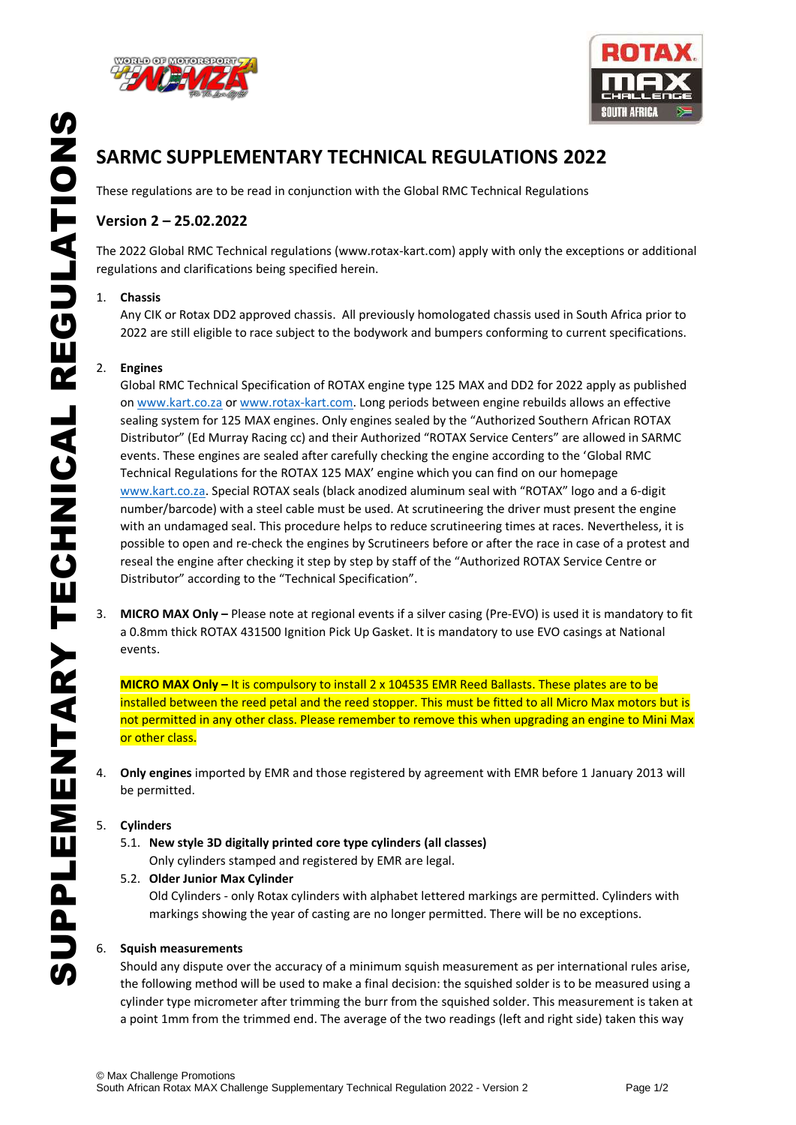



# **SARMC SUPPLEMENTARY TECHNICAL REGULATIONS 2022**

These regulations are to be read in conjunction with the Global RMC Technical Regulations

# **Version 2 – 25.02.2022**

The 2022 Global RMC Technical regulations (www.rotax-kart.com) apply with only the exceptions or additional regulations and clarifications being specified herein.

### 1. **Chassis**

Any CIK or Rotax DD2 approved chassis. All previously homologated chassis used in South Africa prior to 2022 are still eligible to race subject to the bodywork and bumpers conforming to current specifications.

#### 2. **Engines**

Global RMC Technical Specification of ROTAX engine type 125 MAX and DD2 for 2022 apply as published on [www.kart.co.za](http://www.kart.co.za/) or [www.rotax-kart.com.](http://www.rotax-kart.com/) Long periods between engine rebuilds allows an effective sealing system for 125 MAX engines. Only engines sealed by the "Authorized Southern African ROTAX Distributor" (Ed Murray Racing cc) and their Authorized "ROTAX Service Centers" are allowed in SARMC events. These engines are sealed after carefully checking the engine according to the 'Global RMC Technical Regulations for the ROTAX 125 MAX' engine which you can find on our homepage [www.kart.co.za.](http://www.kart.co.za/) Special ROTAX seals (black anodized aluminum seal with "ROTAX" logo and a 6-digit number/barcode) with a steel cable must be used. At scrutineering the driver must present the engine with an undamaged seal. This procedure helps to reduce scrutineering times at races. Nevertheless, it is possible to open and re-check the engines by Scrutineers before or after the race in case of a protest and reseal the engine after checking it step by step by staff of the "Authorized ROTAX Service Centre or Distributor" according to the "Technical Specification".

3. **MICRO MAX Only –** Please note at regional events if a silver casing (Pre-EVO) is used it is mandatory to fit a 0.8mm thick ROTAX 431500 Ignition Pick Up Gasket. It is mandatory to use EVO casings at National events.

**MICRO MAX Only –** It is compulsory to install 2 x 104535 EMR Reed Ballasts. These plates are to be installed between the reed petal and the reed stopper. This must be fitted to all Micro Max motors but is not permitted in any other class. Please remember to remove this when upgrading an engine to Mini Max or other class.

4. **Only engines** imported by EMR and those registered by agreement with EMR before 1 January 2013 will be permitted.

#### 5. **Cylinders**

5.1. **New style 3D digitally printed core type cylinders (all classes)** Only cylinders stamped and registered by EMR are legal.

#### 5.2. **Older Junior Max Cylinder**

Old Cylinders - only Rotax cylinders with alphabet lettered markings are permitted. Cylinders with markings showing the year of casting are no longer permitted. There will be no exceptions.

#### 6. **Squish measurements**

Should any dispute over the accuracy of a minimum squish measurement as per international rules arise, the following method will be used to make a final decision: the squished solder is to be measured using a cylinder type micrometer after trimming the burr from the squished solder. This measurement is taken at a point 1mm from the trimmed end. The average of the two readings (left and right side) taken this way